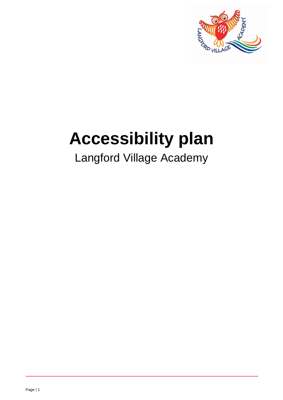

# **Accessibility plan**

# Langford Village Academy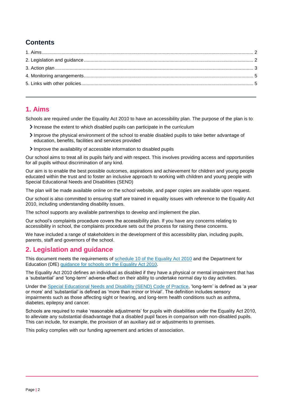### **Contents**

#### <span id="page-1-0"></span>**1. Aims**

Schools are required under the Equality Act 2010 to have an accessibility plan. The purpose of the plan is to:

- Increase the extent to which disabled pupils can participate in the curriculum
- Improve the physical environment of the school to enable disabled pupils to take better advantage of education, benefits, facilities and services provided
- Improve the availability of accessible information to disabled pupils

Our school aims to treat all its pupils fairly and with respect. This involves providing access and opportunities for all pupils without discrimination of any kind.

Our aim is to enable the best possible outcomes, aspirations and achievement for children and young people educated within the trust and to foster an inclusive approach to working with children and young people with Special Educational Needs and Disabilities (SEND)

The plan will be made available online on the school website, and paper copies are available upon request.

Our school is also committed to ensuring staff are trained in equality issues with reference to the Equality Act 2010, including understanding disability issues.

The school supports any available partnerships to develop and implement the plan.

Our school's complaints procedure covers the accessibility plan. If you have any concerns relating to accessibility in school, the complaints procedure sets out the process for raising these concerns.

We have included a range of stakeholders in the development of this accessibility plan, including pupils, parents, staff and governors of the school.

#### <span id="page-1-1"></span>**2. Legislation and guidance**

This document meets the requirements of [schedule 10 of the Equality Act 2010](http://www.legislation.gov.uk/ukpga/2010/15/schedule/10) and the Department for Education (DfE) [guidance for schools on the Equality Act 2010.](https://www.gov.uk/government/publications/equality-act-2010-advice-for-schools)

The Equality Act 2010 defines an individual as disabled if they have a physical or mental impairment that has a 'substantial' and 'long-term' adverse effect on their ability to undertake normal day to day activities.

Under the [Special Educational Needs and Disability \(SEND\) Code of Practice,](https://www.gov.uk/government/publications/send-code-of-practice-0-to-25) 'long-term' is defined as 'a year or more' and 'substantial' is defined as 'more than minor or trivial'. The definition includes sensory impairments such as those affecting sight or hearing, and long-term health conditions such as asthma, diabetes, epilepsy and cancer.

Schools are required to make 'reasonable adjustments' for pupils with disabilities under the Equality Act 2010, to alleviate any substantial disadvantage that a disabled pupil faces in comparison with non-disabled pupils. This can include, for example, the provision of an auxiliary aid or adjustments to premises.

This policy complies with our funding agreement and articles of association.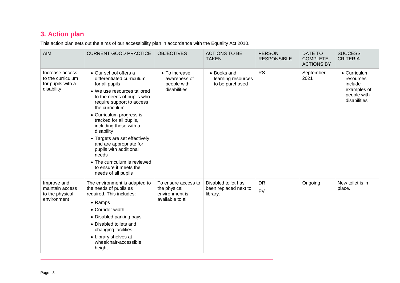## **3. Action plan**

This action plan sets out the aims of our accessibility plan in accordance with the Equality Act 2010.

<span id="page-2-0"></span>

| <b>AIM</b>                                                              | <b>CURRENT GOOD PRACTICE</b>                                                                                                                                                                                                                                                                                                                                                                                                                                    | <b>OBJECTIVES</b>                                                         | <b>ACTIONS TO BE</b><br><b>TAKEN</b>                     | <b>PERSON</b><br><b>RESPONSIBLE</b> | DATE TO<br><b>COMPLETE</b><br><b>ACTIONS BY</b> | <b>SUCCESS</b><br><b>CRITERIA</b>                                                  |
|-------------------------------------------------------------------------|-----------------------------------------------------------------------------------------------------------------------------------------------------------------------------------------------------------------------------------------------------------------------------------------------------------------------------------------------------------------------------------------------------------------------------------------------------------------|---------------------------------------------------------------------------|----------------------------------------------------------|-------------------------------------|-------------------------------------------------|------------------------------------------------------------------------------------|
| Increase access<br>to the curriculum<br>for pupils with a<br>disability | • Our school offers a<br>differentiated curriculum<br>for all pupils<br>• We use resources tailored<br>to the needs of pupils who<br>require support to access<br>the curriculum<br>• Curriculum progress is<br>tracked for all pupils,<br>including those with a<br>disability<br>• Targets are set effectively<br>and are appropriate for<br>pupils with additional<br>needs<br>• The curriculum is reviewed<br>to ensure it meets the<br>needs of all pupils | • To increase<br>awareness of<br>people with<br>disabilities              | • Books and<br>learning resources<br>to be purchased     | <b>RS</b>                           | September<br>2021                               | • Curriculum<br>resources<br>include<br>examples of<br>people with<br>disabilities |
| Improve and<br>maintain access<br>to the physical<br>environment        | The environment is adapted to<br>the needs of pupils as<br>required. This includes:<br>• Ramps<br>• Corridor width<br>• Disabled parking bays<br>• Disabled toilets and<br>changing facilities<br>• Library shelves at<br>wheelchair-accessible<br>height                                                                                                                                                                                                       | To ensure access to<br>the physical<br>environment is<br>available to all | Disabled toilet has<br>been replaced next to<br>library. | <b>DR</b><br>PV                     | Ongoing                                         | New toilet is in<br>place.                                                         |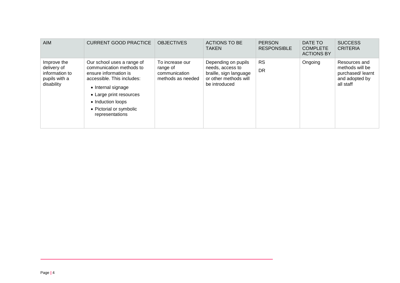| <b>AIM</b>                                                                  | <b>CURRENT GOOD PRACTICE</b>                                                                                                                                                                                                      | <b>OBJECTIVES</b>                                                 | <b>ACTIONS TO BE</b><br><b>TAKEN</b>                                                                        | <b>PERSON</b><br><b>RESPONSIBLE</b> | DATE TO<br><b>COMPLETE</b><br><b>ACTIONS BY</b> | <b>SUCCESS</b><br><b>CRITERIA</b>                                                   |
|-----------------------------------------------------------------------------|-----------------------------------------------------------------------------------------------------------------------------------------------------------------------------------------------------------------------------------|-------------------------------------------------------------------|-------------------------------------------------------------------------------------------------------------|-------------------------------------|-------------------------------------------------|-------------------------------------------------------------------------------------|
| Improve the<br>delivery of<br>information to<br>pupils with a<br>disability | Our school uses a range of<br>communication methods to<br>ensure information is<br>accessible. This includes:<br>• Internal signage<br>• Large print resources<br>• Induction loops<br>• Pictorial or symbolic<br>representations | To increase our<br>range of<br>communication<br>methods as needed | Depending on pupils<br>needs, access to<br>braille, sign language<br>or other methods will<br>be introduced | <b>RS</b><br><b>DR</b>              | Ongoing                                         | Resources and<br>methods will be<br>purchased/learnt<br>and adopted by<br>all staff |